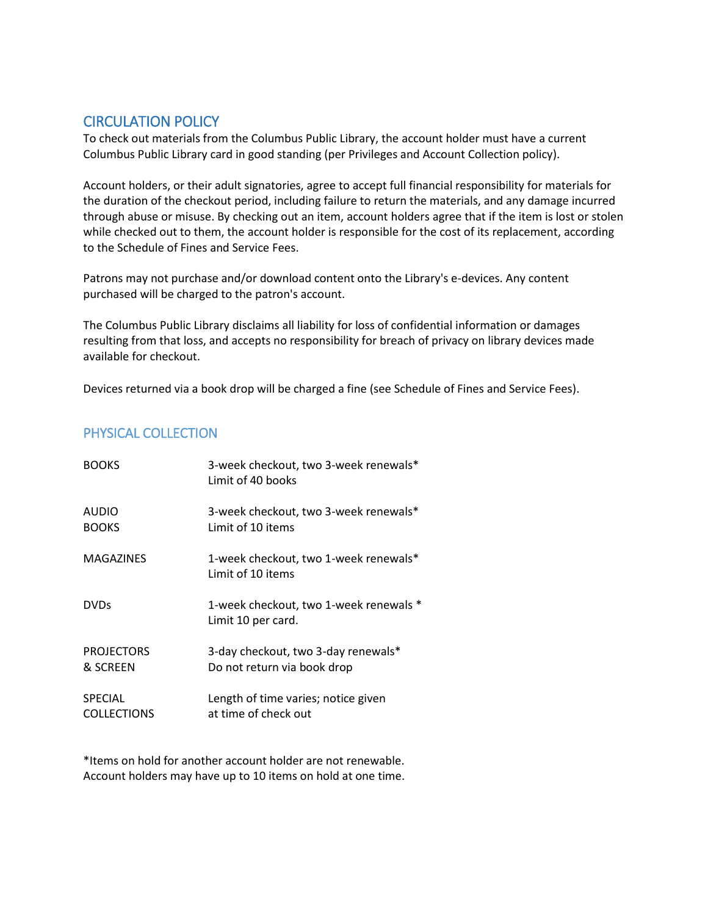## CIRCULATION POLICY

To check out materials from the Columbus Public Library, the account holder must have a current Columbus Public Library card in good standing (per Privileges and Account Collection policy).

Account holders, or their adult signatories, agree to accept full financial responsibility for materials for the duration of the checkout period, including failure to return the materials, and any damage incurred through abuse or misuse. By checking out an item, account holders agree that if the item is lost or stolen while checked out to them, the account holder is responsible for the cost of its replacement, according to the Schedule of Fines and Service Fees.

Patrons may not purchase and/or download content onto the Library's e-devices. Any content purchased will be charged to the patron's account.

The Columbus Public Library disclaims all liability for loss of confidential information or damages resulting from that loss, and accepts no responsibility for breach of privacy on library devices made available for checkout.

Devices returned via a book drop will be charged a fine (see Schedule of Fines and Service Fees).

## PHYSICAL COLLECTION

| <b>BOOKS</b>       | 3-week checkout, two 3-week renewals*<br>Limit of 40 books   |
|--------------------|--------------------------------------------------------------|
| <b>AUDIO</b>       | 3-week checkout, two 3-week renewals*                        |
| <b>BOOKS</b>       | Limit of 10 items                                            |
| <b>MAGAZINES</b>   | 1-week checkout, two 1-week renewals*<br>Limit of 10 items   |
| <b>DVDs</b>        | 1-week checkout, two 1-week renewals *<br>Limit 10 per card. |
| <b>PROJECTORS</b>  | 3-day checkout, two 3-day renewals*                          |
| & SCREEN           | Do not return via book drop                                  |
| <b>SPECIAL</b>     | Length of time varies; notice given                          |
| <b>COLLECTIONS</b> | at time of check out                                         |

\*Items on hold for another account holder are not renewable. Account holders may have up to 10 items on hold at one time.